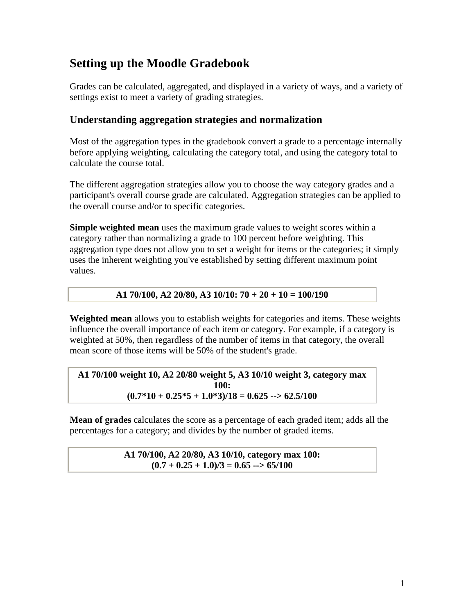# **Setting up the Moodle Gradebook**

Grades can be calculated, aggregated, and displayed in a variety of ways, and a variety of settings exist to meet a variety of grading strategies.

# **Understanding aggregation strategies and normalization**

Most of the aggregation types in the gradebook convert a grade to a percentage internally before applying weighting, calculating the category total, and using the category total to calculate the course total.

The different aggregation strategies allow you to choose the way category grades and a participant's overall course grade are calculated. Aggregation strategies can be applied to the overall course and/or to specific categories.

**Simple weighted mean** uses the maximum grade values to weight scores within a category rather than normalizing a grade to 100 percent before weighting. This aggregation type does not allow you to set a weight for items or the categories; it simply uses the inherent weighting you've established by setting different maximum point values.

## **A1 70/100, A2 20/80, A3 10/10: 70 + 20 + 10 = 100/190**

**Weighted mean** allows you to establish weights for categories and items. These weights influence the overall importance of each item or category. For example, if a category is weighted at 50%, then regardless of the number of items in that category, the overall mean score of those items will be 50% of the student's grade.

#### **A1 70/100 weight 10, A2 20/80 weight 5, A3 10/10 weight 3, category max 100:**   $(0.7*10 + 0.25*5 + 1.0*3)/18 = 0.625 \rightarrow 62.5/100$

**Mean of grades** calculates the score as a percentage of each graded item; adds all the percentages for a category; and divides by the number of graded items.

#### **A1 70/100, A2 20/80, A3 10/10, category max 100:**   $(0.7 + 0.25 + 1.0)/3 = 0.65$  --> 65/100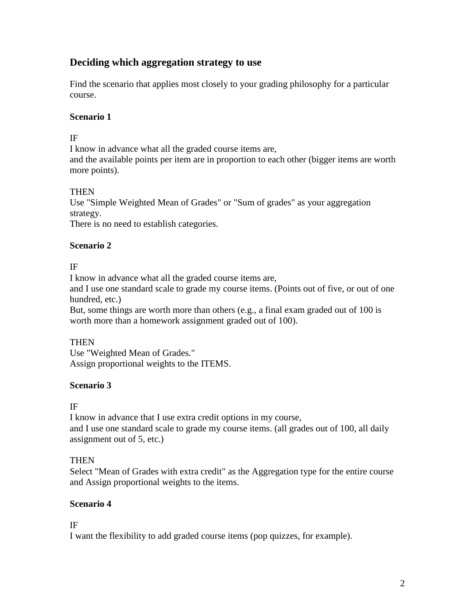# **Deciding which aggregation strategy to use**

Find the scenario that applies most closely to your grading philosophy for a particular course.

#### **Scenario 1**

#### IF

I know in advance what all the graded course items are, and the available points per item are in proportion to each other (bigger items are worth more points).

### **THEN**

Use "Simple Weighted Mean of Grades" or "Sum of grades" as your aggregation strategy.

There is no need to establish categories.

### **Scenario 2**

IF

I know in advance what all the graded course items are, and I use one standard scale to grade my course items. (Points out of five, or out of one hundred, etc.)

But, some things are worth more than others (e.g., a final exam graded out of 100 is worth more than a homework assignment graded out of 100).

## **THEN**

Use "Weighted Mean of Grades." Assign proportional weights to the ITEMS.

#### **Scenario 3**

IF

I know in advance that I use extra credit options in my course, and I use one standard scale to grade my course items. (all grades out of 100, all daily assignment out of 5, etc.)

## **THEN**

Select "Mean of Grades with extra credit" as the Aggregation type for the entire course and Assign proportional weights to the items.

## **Scenario 4**

IF

I want the flexibility to add graded course items (pop quizzes, for example).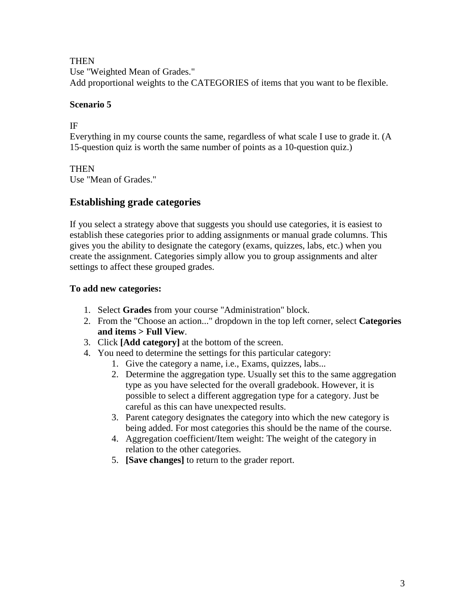**THEN** 

Use "Weighted Mean of Grades." Add proportional weights to the CATEGORIES of items that you want to be flexible.

### **Scenario 5**

IF

Everything in my course counts the same, regardless of what scale I use to grade it. (A 15-question quiz is worth the same number of points as a 10-question quiz.)

### **THEN**

Use "Mean of Grades."

# **Establishing grade categories**

If you select a strategy above that suggests you should use categories, it is easiest to establish these categories prior to adding assignments or manual grade columns. This gives you the ability to designate the category (exams, quizzes, labs, etc.) when you create the assignment. Categories simply allow you to group assignments and alter settings to affect these grouped grades.

## **To add new categories:**

- 1. Select **Grades** from your course "Administration" block.
- 2. From the "Choose an action..." dropdown in the top left corner, select **Categories and items > Full View**.
- 3. Click **[Add category]** at the bottom of the screen.
- 4. You need to determine the settings for this particular category:
	- 1. Give the category a name, i.e., Exams, quizzes, labs...
	- 2. Determine the aggregation type. Usually set this to the same aggregation type as you have selected for the overall gradebook. However, it is possible to select a different aggregation type for a category. Just be careful as this can have unexpected results.
	- 3. Parent category designates the category into which the new category is being added. For most categories this should be the name of the course.
	- 4. Aggregation coefficient/Item weight: The weight of the category in relation to the other categories.
	- 5. **[Save changes]** to return to the grader report.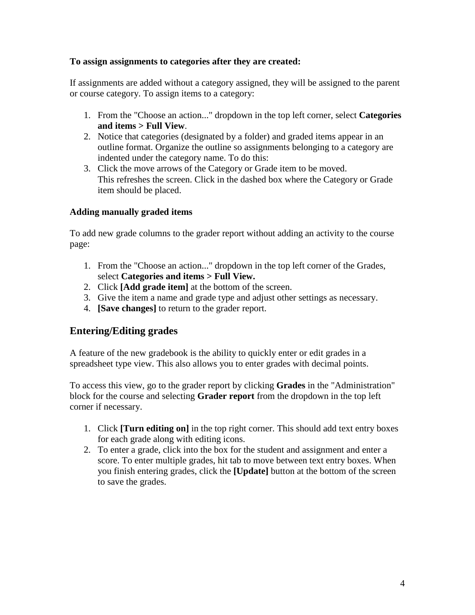#### **To assign assignments to categories after they are created:**

If assignments are added without a category assigned, they will be assigned to the parent or course category. To assign items to a category:

- 1. From the "Choose an action..." dropdown in the top left corner, select **Categories and items > Full View**.
- 2. Notice that categories (designated by a folder) and graded items appear in an outline format. Organize the outline so assignments belonging to a category are indented under the category name. To do this:
- 3. Click the move arrows of the Category or Grade item to be moved. This refreshes the screen. Click in the dashed box where the Category or Grade item should be placed.

#### **Adding manually graded items**

To add new grade columns to the grader report without adding an activity to the course page:

- 1. From the "Choose an action..." dropdown in the top left corner of the Grades, select **Categories and items > Full View.**
- 2. Click **[Add grade item]** at the bottom of the screen.
- 3. Give the item a name and grade type and adjust other settings as necessary.
- 4. **[Save changes]** to return to the grader report.

## **Entering/Editing grades**

A feature of the new gradebook is the ability to quickly enter or edit grades in a spreadsheet type view. This also allows you to enter grades with decimal points.

To access this view, go to the grader report by clicking **Grades** in the "Administration" block for the course and selecting **Grader report** from the dropdown in the top left corner if necessary.

- 1. Click **[Turn editing on]** in the top right corner. This should add text entry boxes for each grade along with editing icons.
- 2. To enter a grade, click into the box for the student and assignment and enter a score. To enter multiple grades, hit tab to move between text entry boxes. When you finish entering grades, click the **[Update]** button at the bottom of the screen to save the grades.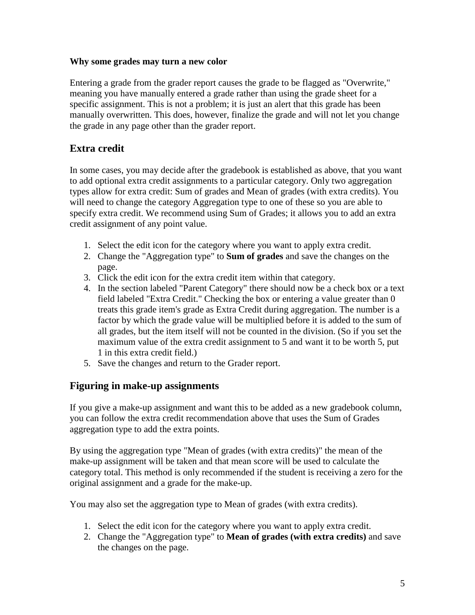#### **Why some grades may turn a new color**

Entering a grade from the grader report causes the grade to be flagged as "Overwrite," meaning you have manually entered a grade rather than using the grade sheet for a specific assignment. This is not a problem; it is just an alert that this grade has been manually overwritten. This does, however, finalize the grade and will not let you change the grade in any page other than the grader report.

## **Extra credit**

In some cases, you may decide after the gradebook is established as above, that you want to add optional extra credit assignments to a particular category. Only two aggregation types allow for extra credit: Sum of grades and Mean of grades (with extra credits). You will need to change the category Aggregation type to one of these so you are able to specify extra credit. We recommend using Sum of Grades; it allows you to add an extra credit assignment of any point value.

- 1. Select the edit icon for the category where you want to apply extra credit.
- 2. Change the "Aggregation type" to **Sum of grades** and save the changes on the page.
- 3. Click the edit icon for the extra credit item within that category.
- 4. In the section labeled "Parent Category" there should now be a check box or a text field labeled "Extra Credit." Checking the box or entering a value greater than 0 treats this grade item's grade as Extra Credit during aggregation. The number is a factor by which the grade value will be multiplied before it is added to the sum of all grades, but the item itself will not be counted in the division. (So if you set the maximum value of the extra credit assignment to 5 and want it to be worth 5, put 1 in this extra credit field.)
- 5. Save the changes and return to the Grader report.

## **Figuring in make-up assignments**

If you give a make-up assignment and want this to be added as a new gradebook column, you can follow the extra credit recommendation above that uses the Sum of Grades aggregation type to add the extra points.

By using the aggregation type "Mean of grades (with extra credits)" the mean of the make-up assignment will be taken and that mean score will be used to calculate the category total. This method is only recommended if the student is receiving a zero for the original assignment and a grade for the make-up.

You may also set the aggregation type to Mean of grades (with extra credits).

- 1. Select the edit icon for the category where you want to apply extra credit.
- 2. Change the "Aggregation type" to **Mean of grades (with extra credits)** and save the changes on the page.